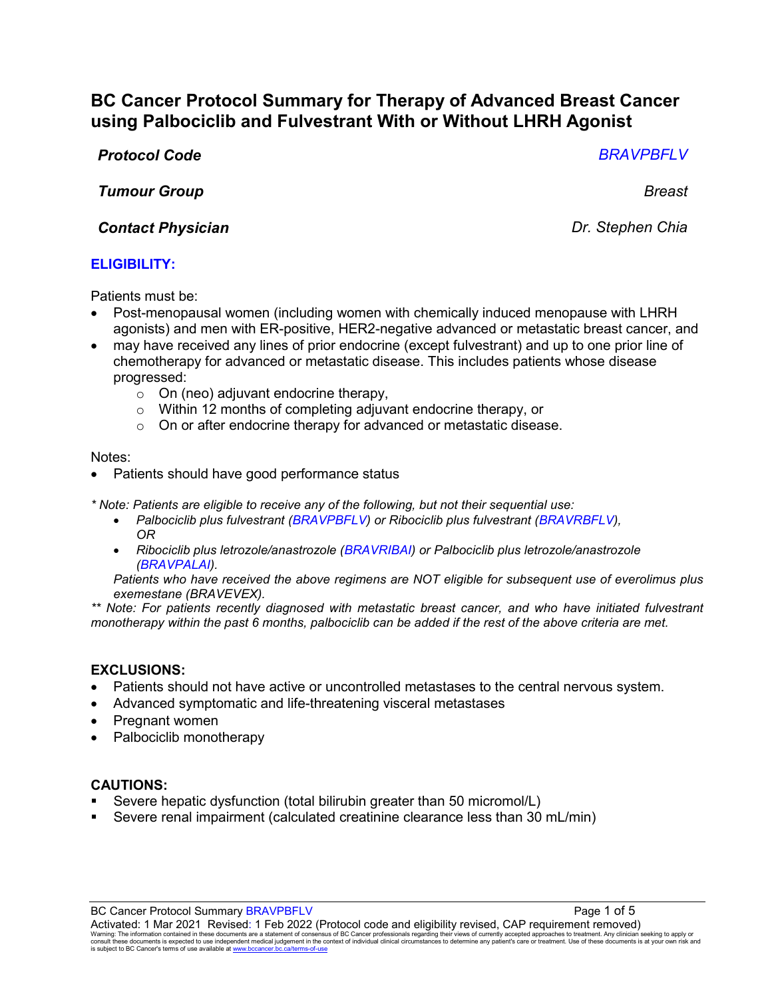# **BC Cancer Protocol Summary for Therapy of Advanced Breast Cancer using Palbociclib and Fulvestrant With or Without LHRH Agonist**

## *Protocol Code BRAVPBFLV*

*Tumour Group Breast*

## *Contact Physician Dr. Stephen Chia*

## **ELIGIBILITY:**

Patients must be:

- Post-menopausal women (including women with chemically induced menopause with LHRH agonists) and men with ER-positive, HER2-negative advanced or metastatic breast cancer, and
- may have received any lines of prior endocrine (except fulvestrant) and up to one prior line of chemotherapy for advanced or metastatic disease. This includes patients whose disease progressed:
	- $\circ$  On (neo) adjuvant endocrine therapy,
	- o Within 12 months of completing adjuvant endocrine therapy, or
	- o On or after endocrine therapy for advanced or metastatic disease.

#### Notes:

Patients should have good performance status

*\* Note: Patients are eligible to receive any of the following, but not their sequential use:*

- *Palbociclib plus fulvestrant (BRAVPBFLV) or Ribociclib plus fulvestrant (BRAVRBFLV), OR*
- *Ribociclib plus letrozole/anastrozole (BRAVRIBAI) or Palbociclib plus letrozole/anastrozole (BRAVPALAI).*

*Patients who have received the above regimens are NOT eligible for subsequent use of everolimus plus exemestane (BRAVEVEX).* 

*\*\* Note: For patients recently diagnosed with metastatic breast cancer, and who have initiated fulvestrant monotherapy within the past 6 months, palbociclib can be added if the rest of the above criteria are met.*

## **EXCLUSIONS:**

- Patients should not have active or uncontrolled metastases to the central nervous system.
- Advanced symptomatic and life-threatening visceral metastases
- Pregnant women
- Palbociclib monotherapy

#### **CAUTIONS:**

- Severe hepatic dysfunction (total bilirubin greater than 50 micromol/L)
- Severe renal impairment (calculated creatinine clearance less than 30 mL/min)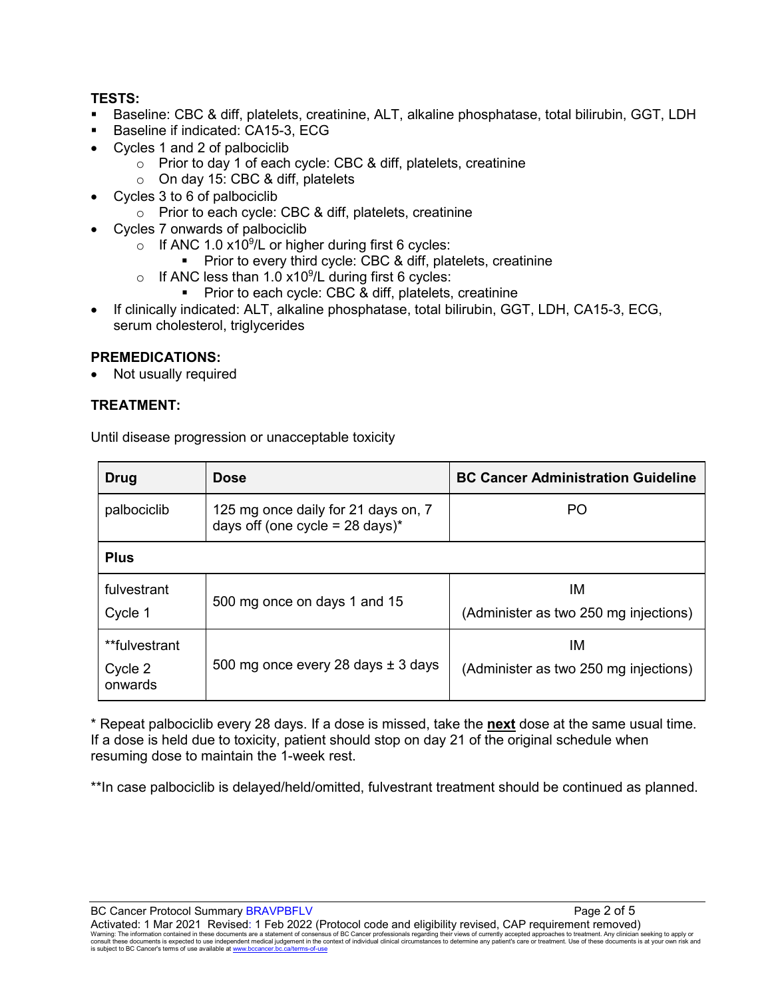## **TESTS:**

- Baseline: CBC & diff, platelets, creatinine, ALT, alkaline phosphatase, total bilirubin, GGT, LDH
- Baseline if indicated: CA15-3, ECG
- Cycles 1 and 2 of palbociclib
	- o Prior to day 1 of each cycle: CBC & diff, platelets, creatinine
	- o On day 15: CBC & diff, platelets
- Cycles 3 to 6 of palbociclib
	- o Prior to each cycle: CBC & diff, platelets, creatinine
- Cycles 7 onwards of palbociclib
	- o If ANC 1.0  $x10^9$ /L or higher during first 6 cycles:
		- **Prior to every third cycle: CBC & diff, platelets, creatinine**
	- $\circ$  If ANC less than 1.0 x10<sup>9</sup>/L during first 6 cycles:
		- **Prior to each cycle: CBC & diff, platelets, creatinine**
- If clinically indicated: ALT, alkaline phosphatase, total bilirubin, GGT, LDH, CA15-3, ECG, serum cholesterol, triglycerides

#### **PREMEDICATIONS:**

• Not usually required

## **TREATMENT:**

Until disease progression or unacceptable toxicity

| Drug                                | <b>Dose</b>                                                                       | <b>BC Cancer Administration Guideline</b>   |  |
|-------------------------------------|-----------------------------------------------------------------------------------|---------------------------------------------|--|
| palbociclib                         | 125 mg once daily for 21 days on, 7<br>days off (one cycle = $28 \text{ days}$ )* | PO                                          |  |
| <b>Plus</b>                         |                                                                                   |                                             |  |
| fulvestrant<br>Cycle 1              | 500 mg once on days 1 and 15                                                      | ΙM<br>(Administer as two 250 mg injections) |  |
| **fulvestrant<br>Cycle 2<br>onwards | 500 mg once every 28 days $\pm$ 3 days                                            | IМ<br>(Administer as two 250 mg injections) |  |

\* Repeat palbociclib every 28 days. If a dose is missed, take the **next** dose at the same usual time. If a dose is held due to toxicity, patient should stop on day 21 of the original schedule when resuming dose to maintain the 1-week rest.

\*\*In case palbociclib is delayed/held/omitted, fulvestrant treatment should be continued as planned.

BC Cancer Protocol Summary BRAVPBFLV **Page 2 of 5** and 5 Activated: 1 Mar 2021 Revised: 1 Feb 2022 (Protocol code and eligibility revised, CAP requirement removed)

Warning: The information contained in these documents are a statement of consensus of BC Cancer professionals regarding their views of currently accepted approaches to treatment. Any clinician seeking to apply or<br>consult t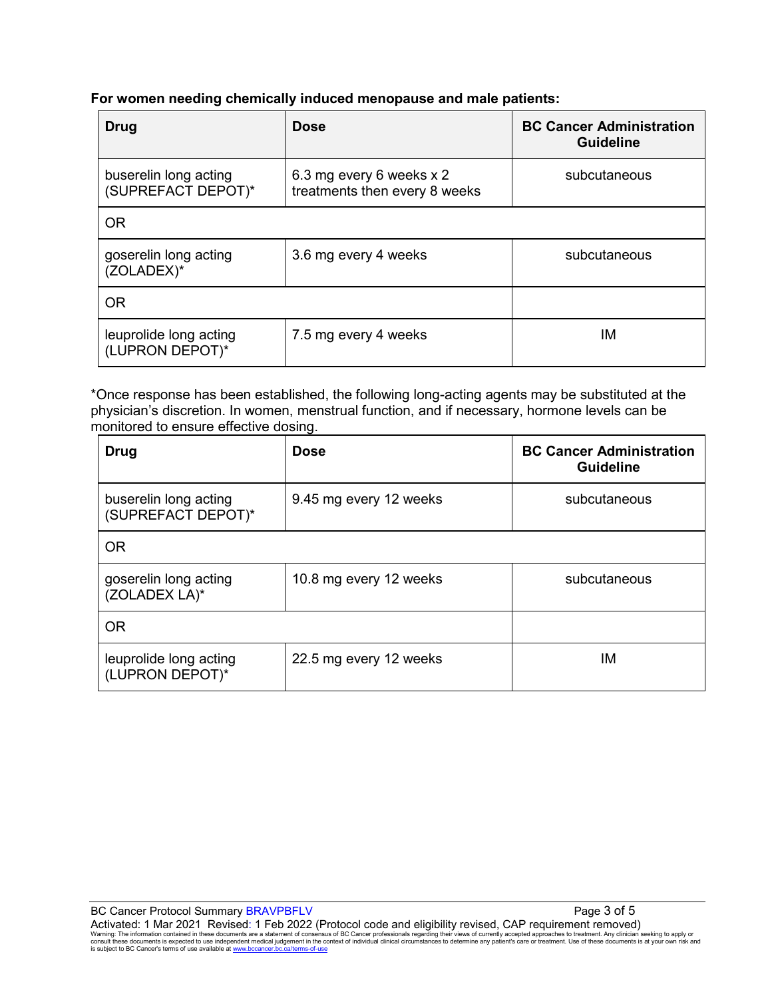## **For women needing chemically induced menopause and male patients:**

| Drug                                        | <b>Dose</b>                                               | <b>BC Cancer Administration</b><br><b>Guideline</b> |
|---------------------------------------------|-----------------------------------------------------------|-----------------------------------------------------|
| buserelin long acting<br>(SUPREFACT DEPOT)* | 6.3 mg every 6 weeks x 2<br>treatments then every 8 weeks | subcutaneous                                        |
| <b>OR</b>                                   |                                                           |                                                     |
| goserelin long acting<br>(ZOLADEX)*         | 3.6 mg every 4 weeks                                      | subcutaneous                                        |
| <b>OR</b>                                   |                                                           |                                                     |
| leuprolide long acting<br>(LUPRON DEPOT)*   | 7.5 mg every 4 weeks                                      | ΙM                                                  |

\*Once response has been established, the following long-acting agents may be substituted at the physician's discretion. In women, menstrual function, and if necessary, hormone levels can be monitored to ensure effective dosing.

| Drug                                        | <b>Dose</b>            | <b>BC Cancer Administration</b><br><b>Guideline</b> |
|---------------------------------------------|------------------------|-----------------------------------------------------|
| buserelin long acting<br>(SUPREFACT DEPOT)* | 9.45 mg every 12 weeks | subcutaneous                                        |
| <b>OR</b>                                   |                        |                                                     |
| goserelin long acting<br>(ZOLADEX LA)*      | 10.8 mg every 12 weeks | subcutaneous                                        |
| <b>OR</b>                                   |                        |                                                     |
| leuprolide long acting<br>(LUPRON DEPOT)*   | 22.5 mg every 12 weeks | ΙM                                                  |

BC Cancer Protocol Summary BRAVPBFLV **Page 3 of 5** and 5 Activated: 1 Mar 2021 Revised: 1 Feb 2022 (Protocol code and eligibility revised, CAP requirement removed) Warning: The information contained in these documents are a statement of consensus of BC Cancer professionals regarding their views of currently accepted approaches to treatment. Any clinician seeking to apply or<br>consult t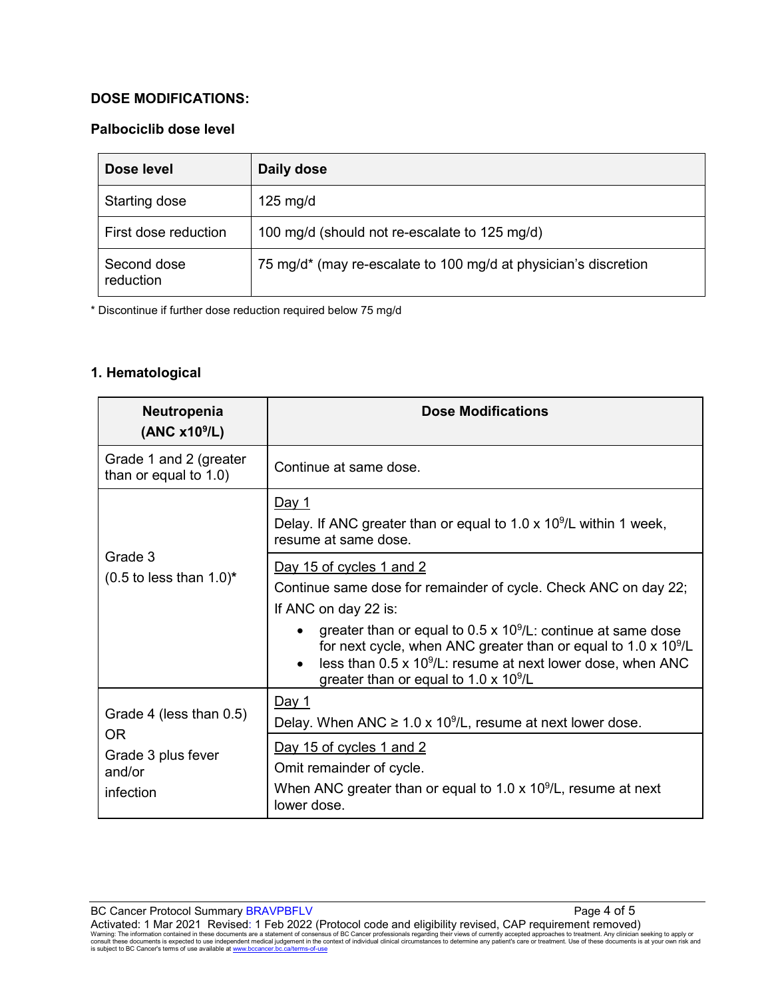## **DOSE MODIFICATIONS:**

## **Palbociclib dose level**

| Dose level               | Daily dose                                                      |
|--------------------------|-----------------------------------------------------------------|
| Starting dose            | $125 \text{ mg/d}$                                              |
| First dose reduction     | 100 mg/d (should not re-escalate to 125 mg/d)                   |
| Second dose<br>reduction | 75 mg/d* (may re-escalate to 100 mg/d at physician's discretion |

\* Discontinue if further dose reduction required below 75 mg/d

## **1. Hematological**

| Neutropenia<br>(ANC x10 <sup>9</sup> /L)          | <b>Dose Modifications</b>                                                                                                                                                                                                                                                                                                                                                                |
|---------------------------------------------------|------------------------------------------------------------------------------------------------------------------------------------------------------------------------------------------------------------------------------------------------------------------------------------------------------------------------------------------------------------------------------------------|
| Grade 1 and 2 (greater<br>than or equal to 1.0)   | Continue at same dose.                                                                                                                                                                                                                                                                                                                                                                   |
|                                                   | Day 1<br>Delay. If ANC greater than or equal to $1.0 \times 10^9$ /L within 1 week,<br>resume at same dose.                                                                                                                                                                                                                                                                              |
| Grade 3<br>$(0.5$ to less than $1.0$ <sup>*</sup> | Day 15 of cycles 1 and 2<br>Continue same dose for remainder of cycle. Check ANC on day 22;<br>If ANC on day 22 is:<br>greater than or equal to $0.5 \times 10^9$ /L: continue at same dose<br>for next cycle, when ANC greater than or equal to $1.0 \times 10^9$ /L<br>less than $0.5 \times 10^9$ /L: resume at next lower dose, when ANC<br>greater than or equal to 1.0 x $10^9$ /L |
| Grade 4 (less than 0.5)                           | <u>Day 1</u><br>Delay. When ANC $\geq 1.0 \times 10^9$ /L, resume at next lower dose.                                                                                                                                                                                                                                                                                                    |
| OR.<br>Grade 3 plus fever<br>and/or<br>infection  | Day 15 of cycles 1 and 2<br>Omit remainder of cycle.<br>When ANC greater than or equal to 1.0 x $10^9$ /L, resume at next<br>lower dose.                                                                                                                                                                                                                                                 |